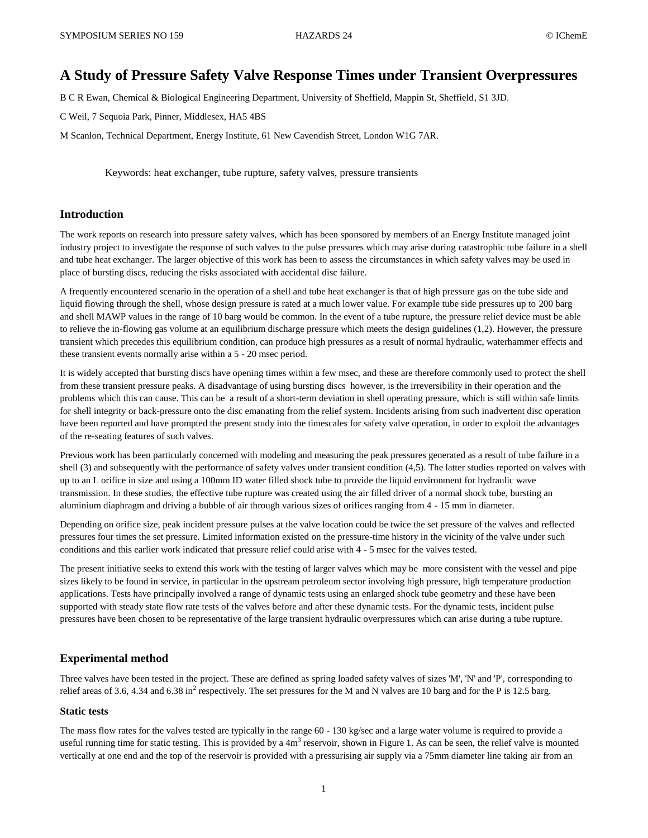# **A Study of Pressure Safety Valve Response Times under Transient Overpressures**

B C R Ewan, Chemical & Biological Engineering Department, University of Sheffield, Mappin St, Sheffield, S1 3JD.

C Weil, 7 Sequoia Park, Pinner, Middlesex, HA5 4BS

M Scanlon, Technical Department, Energy Institute, 61 New Cavendish Street, London W1G 7AR.

Keywords: heat exchanger, tube rupture, safety valves, pressure transients

### **Introduction**

The work reports on research into pressure safety valves, which has been sponsored by members of an Energy Institute managed joint industry project to investigate the response of such valves to the pulse pressures which may arise during catastrophic tube failure in a shell and tube heat exchanger. The larger objective of this work has been to assess the circumstances in which safety valves may be used in place of bursting discs, reducing the risks associated with accidental disc failure.

A frequently encountered scenario in the operation of a shell and tube heat exchanger is that of high pressure gas on the tube side and liquid flowing through the shell, whose design pressure is rated at a much lower value. For example tube side pressures up to 200 barg and shell MAWP values in the range of 10 barg would be common. In the event of a tube rupture, the pressure relief device must be able to relieve the in-flowing gas volume at an equilibrium discharge pressure which meets the design guidelines (1,2). However, the pressure transient which precedes this equilibrium condition, can produce high pressures as a result of normal hydraulic, waterhammer effects and these transient events normally arise within a 5 - 20 msec period.

It is widely accepted that bursting discs have opening times within a few msec, and these are therefore commonly used to protect the shell from these transient pressure peaks. A disadvantage of using bursting discs however, is the irreversibility in their operation and the problems which this can cause. This can be a result of a short-term deviation in shell operating pressure, which is still within safe limits for shell integrity or back-pressure onto the disc emanating from the relief system. Incidents arising from such inadvertent disc operation have been reported and have prompted the present study into the timescales for safety valve operation, in order to exploit the advantages of the re-seating features of such valves.

Previous work has been particularly concerned with modeling and measuring the peak pressures generated as a result of tube failure in a shell (3) and subsequently with the performance of safety valves under transient condition (4,5). The latter studies reported on valves with up to an L orifice in size and using a 100mm ID water filled shock tube to provide the liquid environment for hydraulic wave transmission. In these studies, the effective tube rupture was created using the air filled driver of a normal shock tube, bursting an aluminium diaphragm and driving a bubble of air through various sizes of orifices ranging from 4 - 15 mm in diameter.

Depending on orifice size, peak incident pressure pulses at the valve location could be twice the set pressure of the valves and reflected pressures four times the set pressure. Limited information existed on the pressure-time history in the vicinity of the valve under such conditions and this earlier work indicated that pressure relief could arise with 4 - 5 msec for the valves tested.

The present initiative seeks to extend this work with the testing of larger valves which may be more consistent with the vessel and pipe sizes likely to be found in service, in particular in the upstream petroleum sector involving high pressure, high temperature production applications. Tests have principally involved a range of dynamic tests using an enlarged shock tube geometry and these have been supported with steady state flow rate tests of the valves before and after these dynamic tests. For the dynamic tests, incident pulse pressures have been chosen to be representative of the large transient hydraulic overpressures which can arise during a tube rupture.

### **Experimental method**

Three valves have been tested in the project. These are defined as spring loaded safety valves of sizes 'M', 'N' and 'P', corresponding to relief areas of 3.6, 4.34 and 6.38 in<sup>2</sup> respectively. The set pressures for the M and N valves are 10 barg and for the P is 12.5 barg.

### **Static tests**

The mass flow rates for the valves tested are typically in the range 60 - 130 kg/sec and a large water volume is required to provide a useful running time for static testing. This is provided by a  $4m<sup>3</sup>$  reservoir, shown in Figure 1. As can be seen, the relief valve is mounted vertically at one end and the top of the reservoir is provided with a pressurising air supply via a 75mm diameter line taking air from an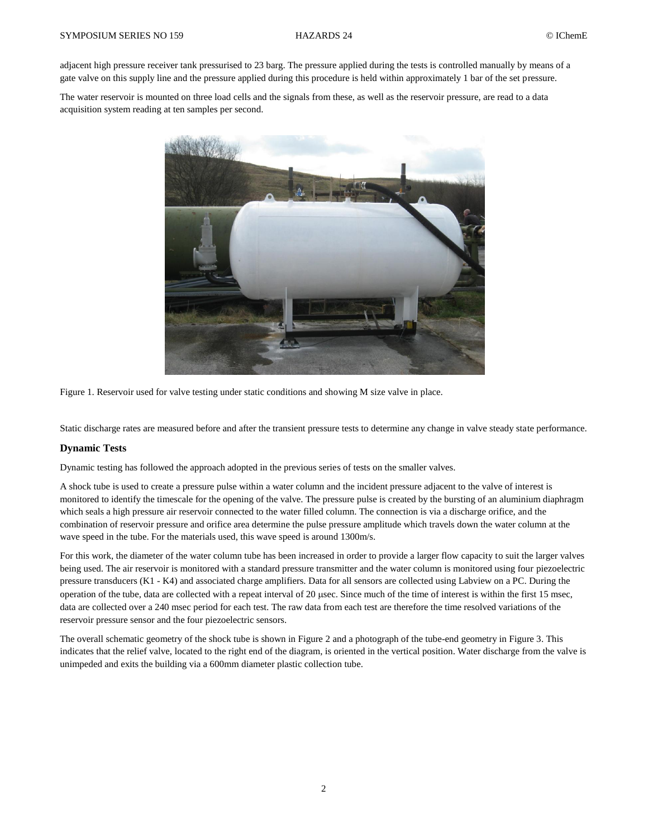adjacent high pressure receiver tank pressurised to 23 barg. The pressure applied during the tests is controlled manually by means of a gate valve on this supply line and the pressure applied during this procedure is held within approximately 1 bar of the set pressure.

The water reservoir is mounted on three load cells and the signals from these, as well as the reservoir pressure, are read to a data acquisition system reading at ten samples per second.



Figure 1. Reservoir used for valve testing under static conditions and showing M size valve in place.

Static discharge rates are measured before and after the transient pressure tests to determine any change in valve steady state performance.

# **Dynamic Tests**

Dynamic testing has followed the approach adopted in the previous series of tests on the smaller valves.

A shock tube is used to create a pressure pulse within a water column and the incident pressure adjacent to the valve of interest is monitored to identify the timescale for the opening of the valve. The pressure pulse is created by the bursting of an aluminium diaphragm which seals a high pressure air reservoir connected to the water filled column. The connection is via a discharge orifice, and the combination of reservoir pressure and orifice area determine the pulse pressure amplitude which travels down the water column at the wave speed in the tube. For the materials used, this wave speed is around 1300m/s.

For this work, the diameter of the water column tube has been increased in order to provide a larger flow capacity to suit the larger valves being used. The air reservoir is monitored with a standard pressure transmitter and the water column is monitored using four piezoelectric pressure transducers (K1 - K4) and associated charge amplifiers. Data for all sensors are collected using Labview on a PC. During the operation of the tube, data are collected with a repeat interval of 20 usec. Since much of the time of interest is within the first 15 msec, data are collected over a 240 msec period for each test. The raw data from each test are therefore the time resolved variations of the reservoir pressure sensor and the four piezoelectric sensors.

The overall schematic geometry of the shock tube is shown in Figure 2 and a photograph of the tube-end geometry in Figure 3. This indicates that the relief valve, located to the right end of the diagram, is oriented in the vertical position. Water discharge from the valve is unimpeded and exits the building via a 600mm diameter plastic collection tube.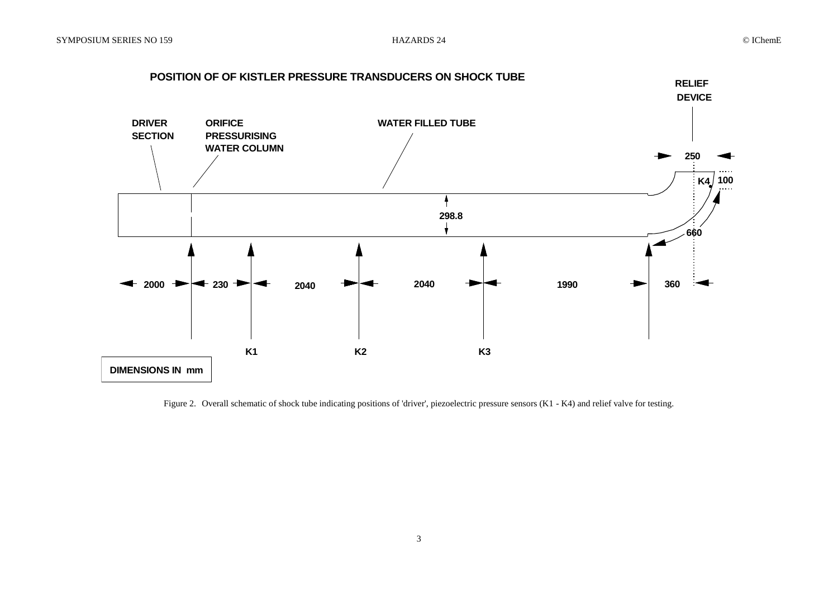

Figure 2. Overall schematic of shock tube indicating positions of 'driver', piezoelectric pressure sensors (K1 - K4) and relief valve for testing.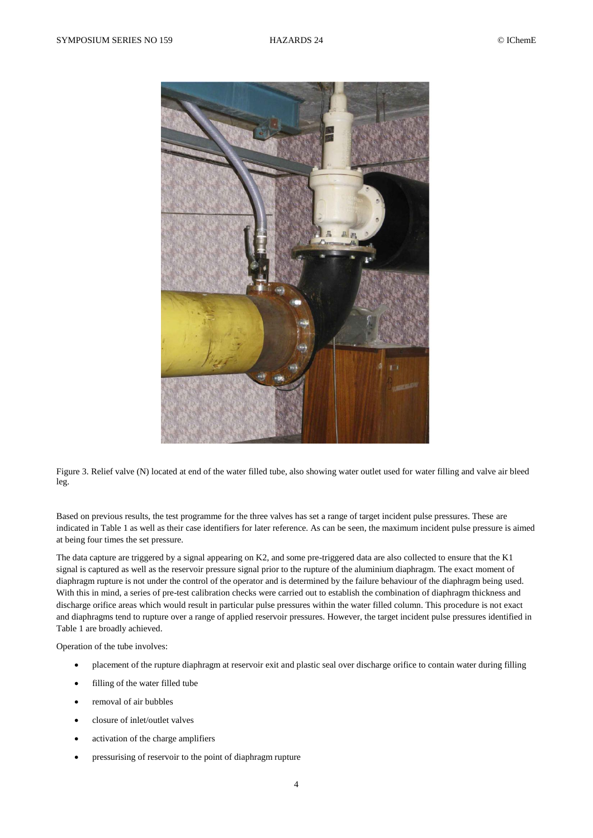

Figure 3. Relief valve (N) located at end of the water filled tube, also showing water outlet used for water filling and valve air bleed leg.

Based on previous results, the test programme for the three valves has set a range of target incident pulse pressures. These are indicated in Table 1 as well as their case identifiers for later reference. As can be seen, the maximum incident pulse pressure is aimed at being four times the set pressure.

The data capture are triggered by a signal appearing on K2, and some pre-triggered data are also collected to ensure that the K1 signal is captured as well as the reservoir pressure signal prior to the rupture of the aluminium diaphragm. The exact moment of diaphragm rupture is not under the control of the operator and is determined by the failure behaviour of the diaphragm being used. With this in mind, a series of pre-test calibration checks were carried out to establish the combination of diaphragm thickness and discharge orifice areas which would result in particular pulse pressures within the water filled column. This procedure is not exact and diaphragms tend to rupture over a range of applied reservoir pressures. However, the target incident pulse pressures identified in Table 1 are broadly achieved.

Operation of the tube involves:

- placement of the rupture diaphragm at reservoir exit and plastic seal over discharge orifice to contain water during filling
- filling of the water filled tube
- removal of air bubbles
- closure of inlet/outlet valves
- activation of the charge amplifiers
- pressurising of reservoir to the point of diaphragm rupture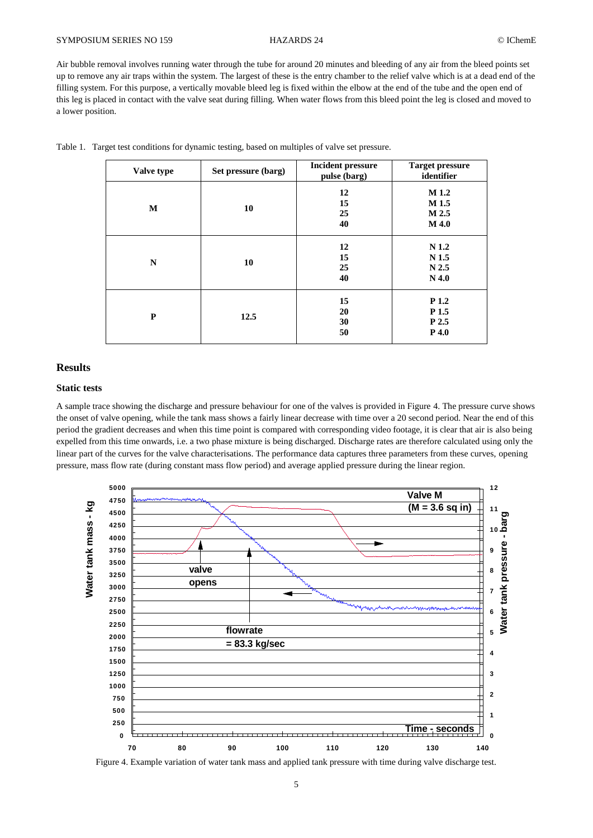# SYMPOSIUM SERIES NO 159 HAZARDS 24 CIChemE

Air bubble removal involves running water through the tube for around 20 minutes and bleeding of any air from the bleed points set up to remove any air traps within the system. The largest of these is the entry chamber to the relief valve which is at a dead end of the filling system. For this purpose, a vertically movable bleed leg is fixed within the elbow at the end of the tube and the open end of this leg is placed in contact with the valve seat during filling. When water flows from this bleed point the leg is closed and moved to a lower position.

| Valve type | Set pressure (barg) | <b>Incident pressure</b><br>pulse (barg) | <b>Target pressure</b><br>identifier                                |  |
|------------|---------------------|------------------------------------------|---------------------------------------------------------------------|--|
| M          | 10                  | 12<br>15<br>25<br>40                     | M 1.2<br>M 1.5<br>M 2.5<br>M 4.0                                    |  |
| ${\bf N}$  | 10                  | 12<br>15<br>25<br>40                     | N <sub>1.2</sub><br>N <sub>1.5</sub><br>N <sub>2.5</sub><br>$N$ 4.0 |  |
| P          | 12.5                |                                          | P 1.2<br>P <sub>1.5</sub><br>P 2.5<br>P 4.0                         |  |

Table 1. Target test conditions for dynamic testing, based on multiples of valve set pressure.

# **Results**

# **Static tests**

A sample trace showing the discharge and pressure behaviour for one of the valves is provided in Figure 4. The pressure curve shows the onset of valve opening, while the tank mass shows a fairly linear decrease with time over a 20 second period. Near the end of this period the gradient decreases and when this time point is compared with corresponding video footage, it is clear that air is also being expelled from this time onwards, i.e. a two phase mixture is being discharged. Discharge rates are therefore calculated using only the linear part of the curves for the valve characterisations. The performance data captures three parameters from these curves, opening pressure, mass flow rate (during constant mass flow period) and average applied pressure during the linear region.



Figure 4. Example variation of water tank mass and applied tank pressure with time during valve discharge test.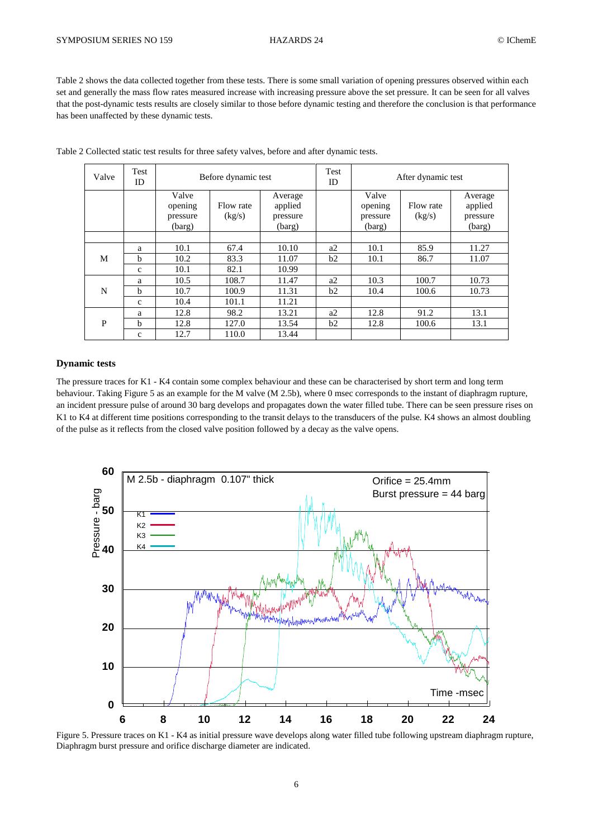Table 2 shows the data collected together from these tests. There is some small variation of opening pressures observed within each set and generally the mass flow rates measured increase with increasing pressure above the set pressure. It can be seen for all valves that the post-dynamic tests results are closely similar to those before dynamic testing and therefore the conclusion is that performance has been unaffected by these dynamic tests.

| Valve | Test<br>ID  | Before dynamic test                    |                     | Test<br>ID                               | After dynamic test |                                        |                     |                                          |
|-------|-------------|----------------------------------------|---------------------|------------------------------------------|--------------------|----------------------------------------|---------------------|------------------------------------------|
|       |             | Valve<br>opening<br>pressure<br>(barg) | Flow rate<br>(kg/s) | Average<br>applied<br>pressure<br>(barg) |                    | Valve<br>opening<br>pressure<br>(barg) | Flow rate<br>(kg/s) | Average<br>applied<br>pressure<br>(barg) |
|       |             |                                        |                     |                                          |                    |                                        |                     |                                          |
| M     | a           | 10.1                                   | 67.4                | 10.10                                    | a2                 | 10.1                                   | 85.9                | 11.27                                    |
|       | h           | 10.2                                   | 83.3                | 11.07                                    | b2                 | 10.1                                   | 86.7                | 11.07                                    |
|       | c           | 10.1                                   | 82.1                | 10.99                                    |                    |                                        |                     |                                          |
|       | a           | 10.5                                   | 108.7               | 11.47                                    | a2                 | 10.3                                   | 100.7               | 10.73                                    |
| N     | b           | 10.7                                   | 100.9               | 11.31                                    | b2                 | 10.4                                   | 100.6               | 10.73                                    |
|       | c           | 10.4                                   | 101.1               | 11.21                                    |                    |                                        |                     |                                          |
| P     | a           | 12.8                                   | 98.2                | 13.21                                    | a2                 | 12.8                                   | 91.2                | 13.1                                     |
|       | h           | 12.8                                   | 127.0               | 13.54                                    | b2                 | 12.8                                   | 100.6               | 13.1                                     |
|       | $\mathbf c$ | 12.7                                   | 110.0               | 13.44                                    |                    |                                        |                     |                                          |

Table 2 Collected static test results for three safety valves, before and after dynamic tests.

### **Dynamic tests**

The pressure traces for K1 - K4 contain some complex behaviour and these can be characterised by short term and long term behaviour. Taking Figure 5 as an example for the M valve (M 2.5b), where 0 msec corresponds to the instant of diaphragm rupture, an incident pressure pulse of around 30 barg develops and propagates down the water filled tube. There can be seen pressure rises on K1 to K4 at different time positions corresponding to the transit delays to the transducers of the pulse. K4 shows an almost doubling of the pulse as it reflects from the closed valve position followed by a decay as the valve opens.



Figure 5. Pressure traces on K1 - K4 as initial pressure wave develops along water filled tube following upstream diaphragm rupture, Diaphragm burst pressure and orifice discharge diameter are indicated.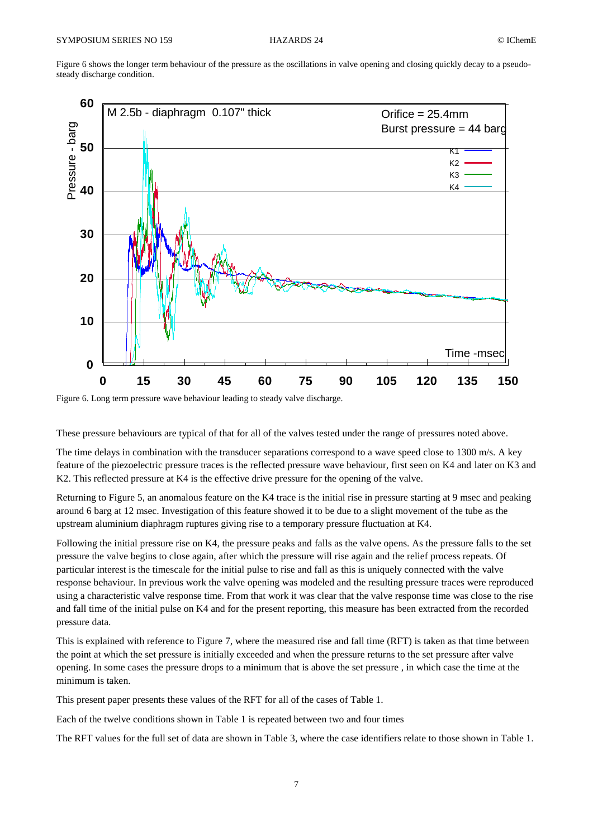Figure 6 shows the longer term behaviour of the pressure as the oscillations in valve opening and closing quickly decay to a pseudosteady discharge condition.



Figure 6. Long term pressure wave behaviour leading to steady valve discharge.

These pressure behaviours are typical of that for all of the valves tested under the range of pressures noted above.

The time delays in combination with the transducer separations correspond to a wave speed close to 1300 m/s. A key feature of the piezoelectric pressure traces is the reflected pressure wave behaviour, first seen on K4 and later on K3 and K2. This reflected pressure at K4 is the effective drive pressure for the opening of the valve.

Returning to Figure 5, an anomalous feature on the K4 trace is the initial rise in pressure starting at 9 msec and peaking around 6 barg at 12 msec. Investigation of this feature showed it to be due to a slight movement of the tube as the upstream aluminium diaphragm ruptures giving rise to a temporary pressure fluctuation at K4.

Following the initial pressure rise on K4, the pressure peaks and falls as the valve opens. As the pressure falls to the set pressure the valve begins to close again, after which the pressure will rise again and the relief process repeats. Of particular interest is the timescale for the initial pulse to rise and fall as this is uniquely connected with the valve response behaviour. In previous work the valve opening was modeled and the resulting pressure traces were reproduced using a characteristic valve response time. From that work it was clear that the valve response time was close to the rise and fall time of the initial pulse on K4 and for the present reporting, this measure has been extracted from the recorded pressure data.

This is explained with reference to Figure 7, where the measured rise and fall time (RFT) is taken as that time between the point at which the set pressure is initially exceeded and when the pressure returns to the set pressure after valve opening. In some cases the pressure drops to a minimum that is above the set pressure , in which case the time at the minimum is taken.

This present paper presents these values of the RFT for all of the cases of Table 1.

Each of the twelve conditions shown in Table 1 is repeated between two and four times

The RFT values for the full set of data are shown in Table 3, where the case identifiers relate to those shown in Table 1.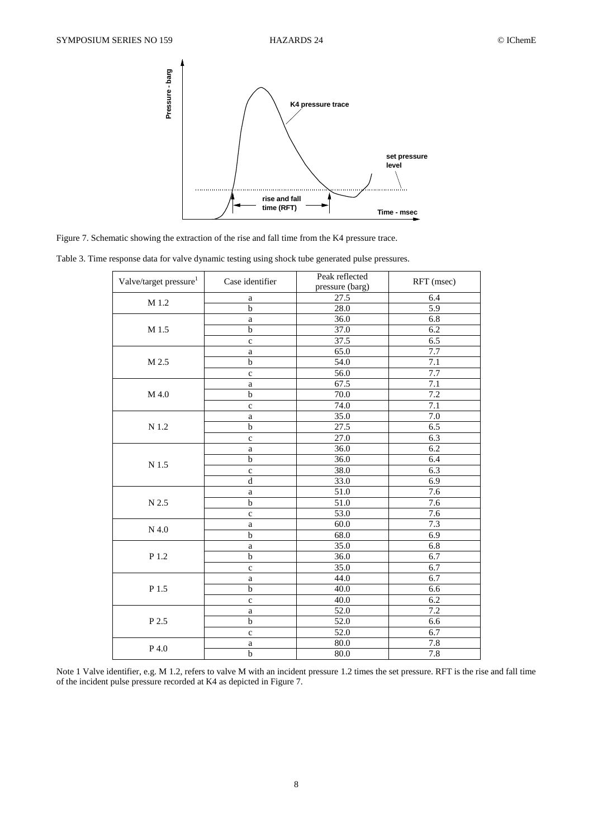

Figure 7. Schematic showing the extraction of the rise and fall time from the K4 pressure trace.

Table 3. Time response data for valve dynamic testing using shock tube generated pulse pressures.

| Valve/target pressure <sup>1</sup> | Case identifier | Peak reflected<br>pressure (barg) | RFT (msec)       |  |
|------------------------------------|-----------------|-----------------------------------|------------------|--|
|                                    | $\rm{a}$        | 27.5                              | 6.4              |  |
| M 1.2                              | $\overline{b}$  | 28.0                              | $\overline{5.9}$ |  |
|                                    | $\rm{a}$        | 36.0                              | 6.8              |  |
| M 1.5                              | b               | 37.0                              | 6.2              |  |
|                                    | $\mathbf c$     | 37.5                              | 6.5              |  |
|                                    | $\rm{a}$        | 65.0                              | 7.7              |  |
| M 2.5                              | $\mathbf b$     | $\overline{54.0}$                 | $\overline{7.1}$ |  |
|                                    | $\mathbf c$     | 56.0                              | $\overline{7.7}$ |  |
|                                    | $\rm{a}$        | 67.5                              | 7.1              |  |
| M 4.0                              | $\mathbf b$     | 70.0                              | 7.2              |  |
|                                    | $\mathbf c$     | 74.0                              | 7.1              |  |
|                                    | $\rm{a}$        | 35.0                              | 7.0              |  |
| $\rm N$ 1.2                        | $\mathbf b$     | 27.5                              | 6.5              |  |
|                                    | $\mathbf c$     | 27.0                              | 6.3              |  |
|                                    | $\rm{a}$        | 36.0                              | 6.2              |  |
| $\rm N$ 1.5                        | b               | 36.0                              | 6.4              |  |
|                                    | $\mathbf c$     | 38.0                              | 6.3              |  |
|                                    | $\mathbf d$     | 33.0                              | 6.9              |  |
|                                    | $\rm{a}$        | 51.0                              | 7.6              |  |
| N 2.5                              | $\bf b$         | 51.0                              | 7.6              |  |
|                                    | $\mathbf c$     | 53.0                              | 7.6              |  |
| $N$ 4.0                            | $\rm{a}$        | 60.0                              | 7.3              |  |
|                                    | $\mathbf b$     | 68.0                              | 6.9              |  |
|                                    | $\rm{a}$        | 35.0                              | $6.8$            |  |
| P 1.2                              | $\mathbf b$     | 36.0                              | 6.7              |  |
|                                    | $\mathbf c$     | 35.0                              | 6.7              |  |
|                                    | $\rm{a}$        | 44.0                              | 6.7              |  |
| $\rm P$ 1.5                        | b               | 40.0                              | 6.6              |  |
|                                    | $\mathbf c$     | 40.0                              | 6.2              |  |
|                                    | $\rm{a}$        | 52.0                              | $\overline{7.2}$ |  |
| P 2.5                              | $\mathbf b$     | $\overline{52.0}$                 | 6.6              |  |
|                                    | $\mathbf c$     | 52.0                              | 6.7              |  |
| P 4.0                              | $\rm{a}$        | 80.0                              | 7.8              |  |
|                                    | $\overline{b}$  | 80.0                              | 7.8              |  |

Note 1 Valve identifier, e.g. M 1.2, refers to valve M with an incident pressure 1.2 times the set pressure. RFT is the rise and fall time of the incident pulse pressure recorded at K4 as depicted in Figure 7.